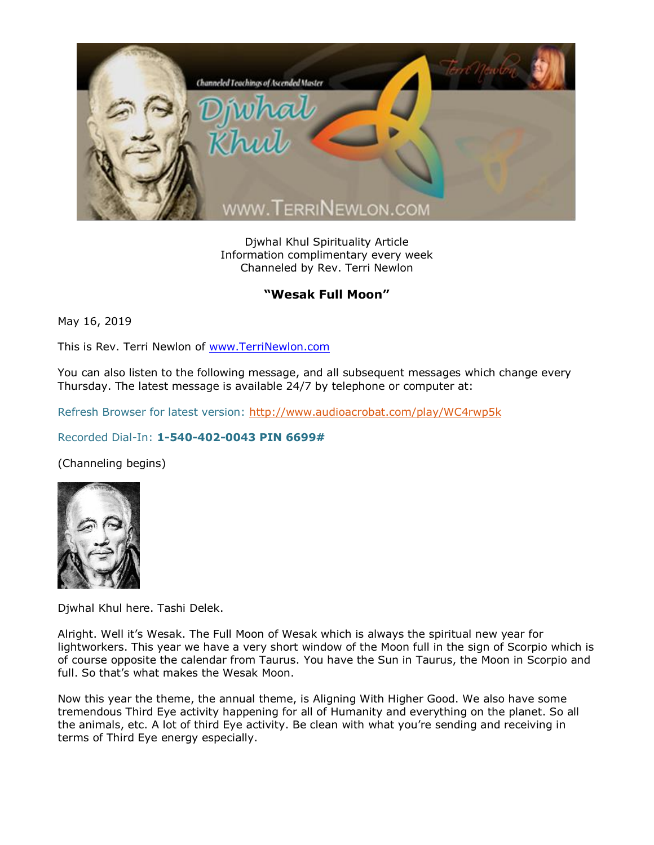

Djwhal Khul Spirituality Article Information complimentary every week Channeled by Rev. Terri Newlon

## **"Wesak Full Moon"**

May 16, 2019

This is Rev. Terri Newlon of [www.TerriNewlon.com](http://www.terrinewlon.com/)

You can also listen to the following message, and all subsequent messages which change every Thursday. The latest message is available 24/7 by telephone or computer at:

Refresh Browser for latest version:<http://www.audioacrobat.com/play/WC4rwp5k>

## Recorded Dial-In: **1-540-402-0043 PIN 6699#**

(Channeling begins)



Djwhal Khul here. Tashi Delek.

Alright. Well it's Wesak. The Full Moon of Wesak which is always the spiritual new year for lightworkers. This year we have a very short window of the Moon full in the sign of Scorpio which is of course opposite the calendar from Taurus. You have the Sun in Taurus, the Moon in Scorpio and full. So that's what makes the Wesak Moon.

Now this year the theme, the annual theme, is Aligning With Higher Good. We also have some tremendous Third Eye activity happening for all of Humanity and everything on the planet. So all the animals, etc. A lot of third Eye activity. Be clean with what you're sending and receiving in terms of Third Eye energy especially.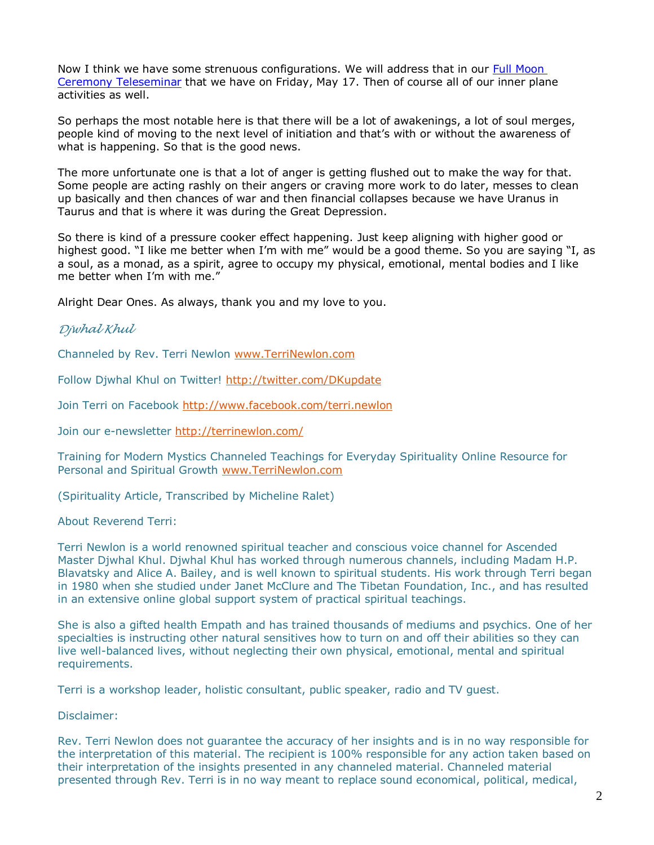Now I think we have some strenuous configurations. We will address that in our Full Moon Ceremony Teleseminar that we have on Friday, May 17. Then of course all of our inner plane activities as well.

So perhaps the most notable here is that there will be a lot of awakenings, a lot of soul merges, people kind of moving to the next level of initiation and that's with or without the awareness of what is happening. So that is the good news.

The more unfortunate one is that a lot of anger is getting flushed out to make the way for that. Some people are acting rashly on their angers or craving more work to do later, messes to clean up basically and then chances of war and then financial collapses because we have Uranus in Taurus and that is where it was during the Great Depression.

So there is kind of a pressure cooker effect happening. Just keep aligning with higher good or highest good. "I like me better when I'm with me" would be a good theme. So you are saying "I, as a soul, as a monad, as a spirit, agree to occupy my physical, emotional, mental bodies and I like me better when I'm with me."

Alright Dear Ones. As always, thank you and my love to you.

## *Djwhal Khul*

Channeled by Rev. Terri Newlon [www.TerriNewlon.com](http://www.terrinewlon.com/)

Follow Djwhal Khul on Twitter!<http://twitter.com/DKupdate>

Join Terri on Facebook<http://www.facebook.com/terri.newlon>

Join our e-newsletter<http://terrinewlon.com/>

Training for Modern Mystics Channeled Teachings for Everyday Spirituality Online Resource for Personal and Spiritual Growth [www.TerriNewlon.com](http://www.terrinewlon.com/)

(Spirituality Article, Transcribed by Micheline Ralet)

About Reverend Terri:

Terri Newlon is a world renowned spiritual teacher and conscious voice channel for Ascended Master Djwhal Khul. Djwhal Khul has worked through numerous channels, including Madam H.P. Blavatsky and Alice A. Bailey, and is well known to spiritual students. His work through Terri began in 1980 when she studied under Janet McClure and The Tibetan Foundation, Inc., and has resulted in an extensive online global support system of practical spiritual teachings.

She is also a gifted health Empath and has trained thousands of mediums and psychics. One of her specialties is instructing other natural sensitives how to turn on and off their abilities so they can live well-balanced lives, without neglecting their own physical, emotional, mental and spiritual requirements.

Terri is a workshop leader, holistic consultant, public speaker, radio and TV guest.

Disclaimer:

Rev. Terri Newlon does not guarantee the accuracy of her insights and is in no way responsible for the interpretation of this material. The recipient is 100% responsible for any action taken based on their interpretation of the insights presented in any channeled material. Channeled material presented through Rev. Terri is in no way meant to replace sound economical, political, medical,